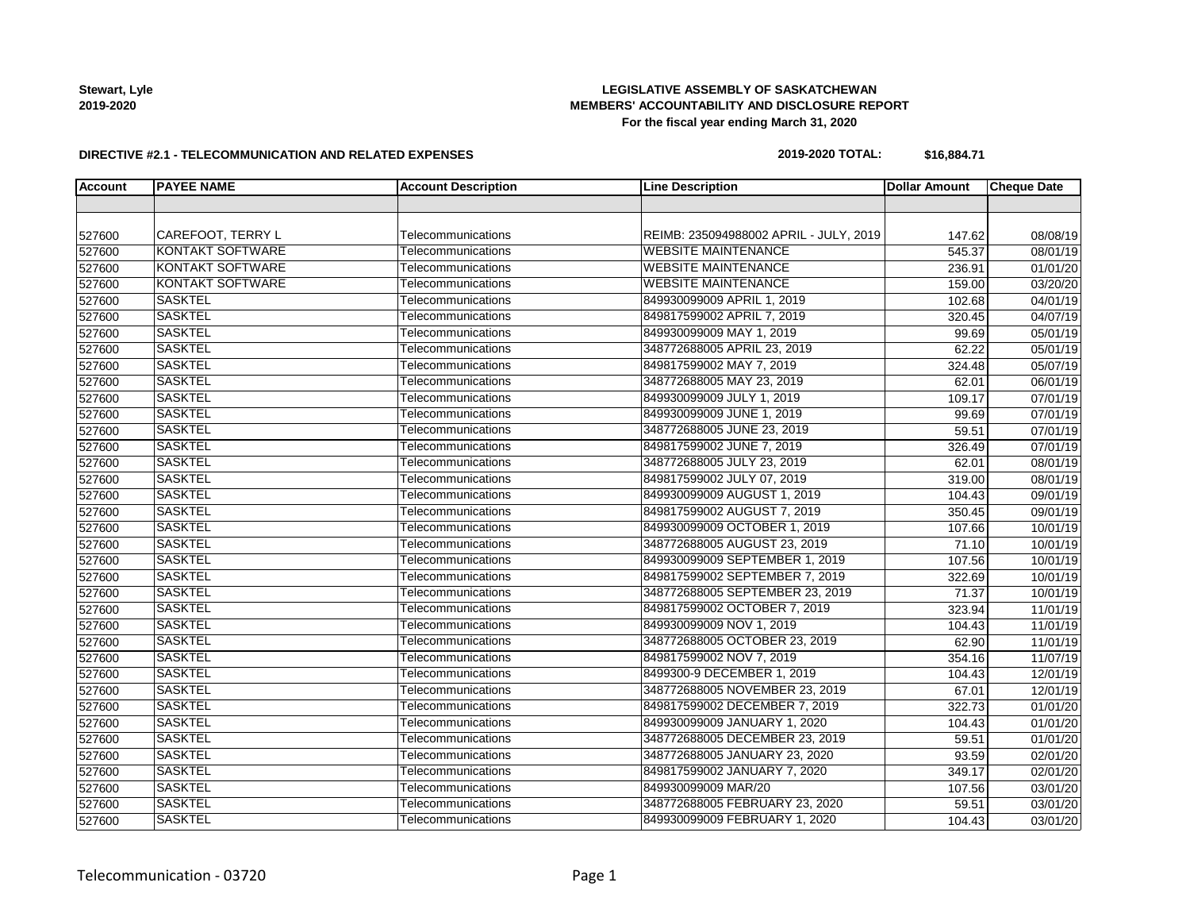**Stewart, Lyle 2019-2020**

# **LEGISLATIVE ASSEMBLY OF SASKATCHEWAN MEMBERS' ACCOUNTABILITY AND DISCLOSURE REPORT For the fiscal year ending March 31, 2020**

#### **DIRECTIVE #2.1 - TELECOMMUNICATION AND RELATED EXPENSES**

#### **2019-2020 TOTAL: \$16,884.71**

| <b>Account</b> | <b>PAYEE NAME</b>       | <b>Account Description</b> | <b>Line Description</b>                | <b>Dollar Amount</b> | <b>Cheque Date</b>    |
|----------------|-------------------------|----------------------------|----------------------------------------|----------------------|-----------------------|
|                |                         |                            |                                        |                      |                       |
|                |                         |                            |                                        |                      |                       |
| 527600         | CAREFOOT, TERRY L       | Telecommunications         | REIMB: 235094988002 APRIL - JULY, 2019 | 147.62               | 08/08/19              |
| 527600         | <b>KONTAKT SOFTWARE</b> | Telecommunications         | <b>WEBSITE MAINTENANCE</b>             | 545.37               | 08/01/19              |
| 527600         | <b>KONTAKT SOFTWARE</b> | Telecommunications         | <b>WEBSITE MAINTENANCE</b>             | 236.91               | 01/01/20              |
| 527600         | <b>KONTAKT SOFTWARE</b> | Telecommunications         | <b>WEBSITE MAINTENANCE</b>             | 159.00               | 03/20/20              |
| 527600         | <b>SASKTEL</b>          | Telecommunications         | 849930099009 APRIL 1, 2019             | 102.68               | 04/01/19              |
| 527600         | <b>SASKTEL</b>          | Telecommunications         | 849817599002 APRIL 7, 2019             | 320.45               | 04/07/19              |
| 527600         | <b>SASKTEL</b>          | Telecommunications         | 849930099009 MAY 1, 2019               | 99.69                | 05/01/19              |
| 527600         | <b>SASKTEL</b>          | Telecommunications         | 348772688005 APRIL 23, 2019            | 62.22                | 05/01/19              |
| 527600         | <b>SASKTEL</b>          | Telecommunications         | 849817599002 MAY 7, 2019               | 324.48               | 05/07/19              |
| 527600         | <b>SASKTEL</b>          | Telecommunications         | 348772688005 MAY 23, 2019              | 62.01                | 06/01/19              |
| 527600         | <b>SASKTEL</b>          | Telecommunications         | 849930099009 JULY 1, 2019              | 109.17               | $\overline{07/01/19}$ |
| 527600         | <b>SASKTEL</b>          | Telecommunications         | 849930099009 JUNE 1, 2019              | 99.69                | 07/01/19              |
| 527600         | <b>SASKTEL</b>          | Telecommunications         | 348772688005 JUNE 23, 2019             | 59.51                | 07/01/19              |
| 527600         | <b>SASKTEL</b>          | Telecommunications         | 849817599002 JUNE 7, 2019              | 326.49               | 07/01/19              |
| 527600         | <b>SASKTEL</b>          | Telecommunications         | 348772688005 JULY 23, 2019             | 62.01                | 08/01/19              |
| 527600         | <b>SASKTEL</b>          | Telecommunications         | 849817599002 JULY 07, 2019             | 319.00               | 08/01/19              |
| 527600         | <b>SASKTEL</b>          | Telecommunications         | 849930099009 AUGUST 1, 2019            | 104.43               | 09/01/19              |
| 527600         | <b>SASKTEL</b>          | Telecommunications         | 849817599002 AUGUST 7, 2019            | 350.45               | 09/01/19              |
| 527600         | <b>SASKTEL</b>          | Telecommunications         | 849930099009 OCTOBER 1, 2019           | 107.66               | 10/01/19              |
| 527600         | <b>SASKTEL</b>          | Telecommunications         | 348772688005 AUGUST 23, 2019           | 71.10                | 10/01/19              |
| 527600         | <b>SASKTEL</b>          | Telecommunications         | 849930099009 SEPTEMBER 1, 2019         | 107.56               | 10/01/19              |
| 527600         | <b>SASKTEL</b>          | Telecommunications         | 849817599002 SEPTEMBER 7, 2019         | 322.69               | 10/01/19              |
| 527600         | <b>SASKTEL</b>          | Telecommunications         | 348772688005 SEPTEMBER 23, 2019        | 71.37                | 10/01/19              |
| 527600         | <b>SASKTEL</b>          | Telecommunications         | 849817599002 OCTOBER 7, 2019           | 323.94               | 11/01/19              |
| 527600         | <b>SASKTEL</b>          | Telecommunications         | 849930099009 NOV 1, 2019               | 104.43               | 11/01/19              |
| 527600         | <b>SASKTEL</b>          | Telecommunications         | 348772688005 OCTOBER 23, 2019          | 62.90                | 11/01/19              |
| 527600         | <b>SASKTEL</b>          | Telecommunications         | 849817599002 NOV 7, 2019               | 354.16               | 11/07/19              |
| 527600         | <b>SASKTEL</b>          | Telecommunications         | 8499300-9 DECEMBER 1, 2019             | 104.43               | 12/01/19              |
| 527600         | <b>SASKTEL</b>          | Telecommunications         | 348772688005 NOVEMBER 23, 2019         | 67.01                | 12/01/19              |
| 527600         | <b>SASKTEL</b>          | Telecommunications         | 849817599002 DECEMBER 7, 2019          | 322.73               | 01/01/20              |
| 527600         | <b>SASKTEL</b>          | Telecommunications         | 849930099009 JANUARY 1, 2020           | 104.43               | 01/01/20              |
| 527600         | <b>SASKTEL</b>          | Telecommunications         | 348772688005 DECEMBER 23, 2019         | 59.51                | 01/01/20              |
| 527600         | <b>SASKTEL</b>          | Telecommunications         | 348772688005 JANUARY 23, 2020          | 93.59                | 02/01/20              |
| 527600         | <b>SASKTEL</b>          | Telecommunications         | 849817599002 JANUARY 7, 2020           | 349.17               | 02/01/20              |
| 527600         | <b>SASKTEL</b>          | Telecommunications         | 849930099009 MAR/20                    | 107.56               | 03/01/20              |
| 527600         | <b>SASKTEL</b>          | Telecommunications         | 348772688005 FEBRUARY 23, 2020         | 59.51                | 03/01/20              |
| 527600         | <b>SASKTEL</b>          | Telecommunications         | 849930099009 FEBRUARY 1, 2020          | 104.43               | 03/01/20              |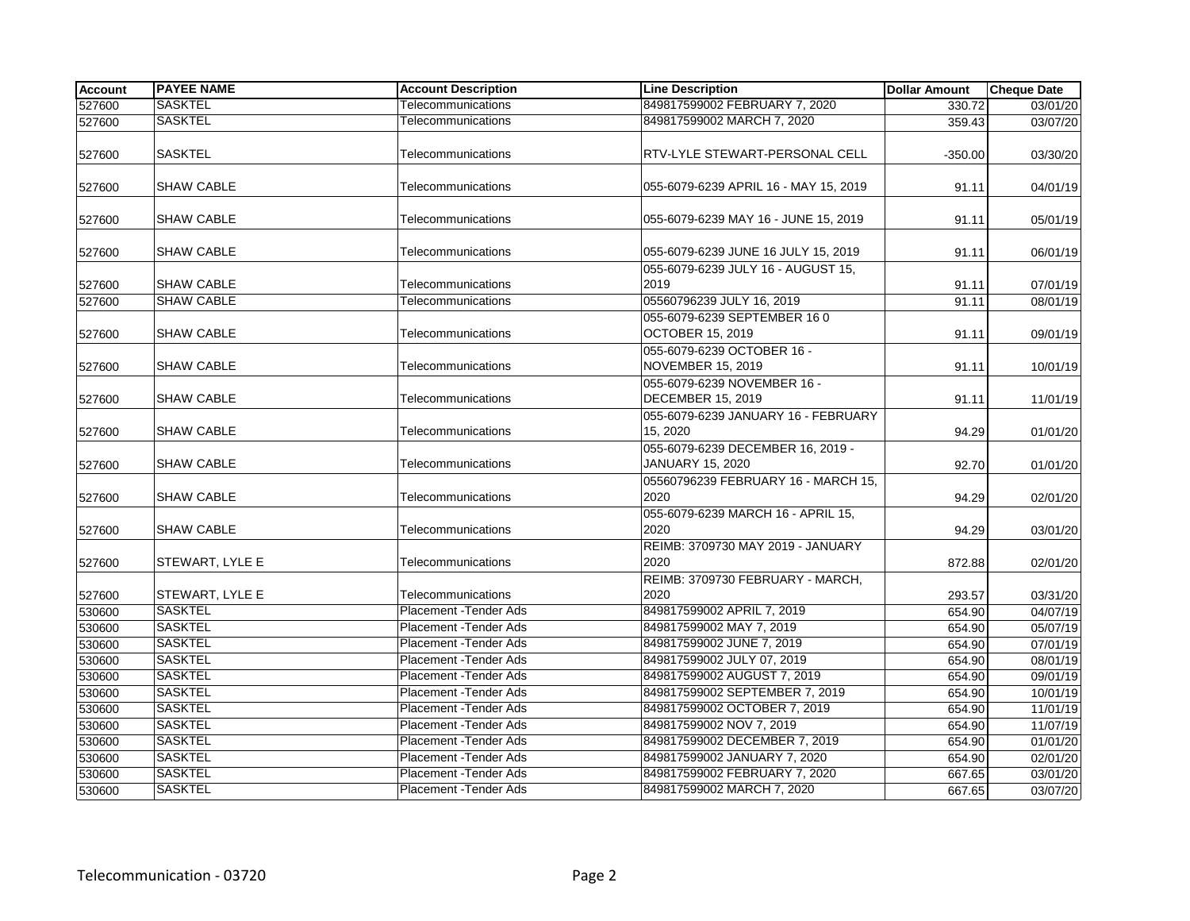| <b>Account</b> | <b>PAYEE NAME</b> | <b>Account Description</b> | <b>Line Description</b>                                 | <b>Dollar Amount</b> | <b>Cheque Date</b> |
|----------------|-------------------|----------------------------|---------------------------------------------------------|----------------------|--------------------|
| 527600         | <b>SASKTEL</b>    | Telecommunications         | 849817599002 FEBRUARY 7, 2020                           | 330.72               | 03/01/20           |
| 527600         | <b>SASKTEL</b>    | Telecommunications         | 849817599002 MARCH 7, 2020                              | 359.43               | 03/07/20           |
| 527600         | <b>SASKTEL</b>    | Telecommunications         | RTV-LYLE STEWART-PERSONAL CELL                          | $-350.00$            | 03/30/20           |
| 527600         | <b>SHAW CABLE</b> | Telecommunications         | 055-6079-6239 APRIL 16 - MAY 15, 2019                   | 91.11                | 04/01/19           |
| 527600         | <b>SHAW CABLE</b> | Telecommunications         | 055-6079-6239 MAY 16 - JUNE 15, 2019                    | 91.11                | 05/01/19           |
| 527600         | <b>SHAW CABLE</b> | Telecommunications         | 055-6079-6239 JUNE 16 JULY 15, 2019                     | 91.11                | 06/01/19           |
| 527600         | <b>SHAW CABLE</b> | Telecommunications         | 055-6079-6239 JULY 16 - AUGUST 15,<br>2019              | 91.11                | 07/01/19           |
| 527600         | <b>SHAW CABLE</b> | Telecommunications         | 05560796239 JULY 16, 2019                               | 91.11                | 08/01/19           |
| 527600         | <b>SHAW CABLE</b> | Telecommunications         | 055-6079-6239 SEPTEMBER 16 0<br><b>OCTOBER 15, 2019</b> | 91.11                | 09/01/19           |
| 527600         | <b>SHAW CABLE</b> | Telecommunications         | 055-6079-6239 OCTOBER 16 -<br>NOVEMBER 15, 2019         | 91.11                | 10/01/19           |
| 527600         | <b>SHAW CABLE</b> | Telecommunications         | 055-6079-6239 NOVEMBER 16 -<br><b>DECEMBER 15, 2019</b> | 91.11                | 11/01/19           |
| 527600         | <b>SHAW CABLE</b> | Telecommunications         | 055-6079-6239 JANUARY 16 - FEBRUARY<br>15, 2020         | 94.29                | 01/01/20           |
| 527600         | <b>SHAW CABLE</b> | Telecommunications         | 055-6079-6239 DECEMBER 16, 2019 -<br>JANUARY 15, 2020   | 92.70                | 01/01/20           |
| 527600         | <b>SHAW CABLE</b> | Telecommunications         | 05560796239 FEBRUARY 16 - MARCH 15,<br>2020             | 94.29                | 02/01/20           |
| 527600         | <b>SHAW CABLE</b> | Telecommunications         | 055-6079-6239 MARCH 16 - APRIL 15,<br>2020              | 94.29                | 03/01/20           |
| 527600         | STEWART, LYLE E   | Telecommunications         | REIMB: 3709730 MAY 2019 - JANUARY<br>2020               | 872.88               | 02/01/20           |
|                |                   |                            | REIMB: 3709730 FEBRUARY - MARCH,                        |                      |                    |
| 527600         | STEWART, LYLE E   | Telecommunications         | 2020                                                    | 293.57               | 03/31/20           |
| 530600         | <b>SASKTEL</b>    | Placement - Tender Ads     | 849817599002 APRIL 7, 2019                              | 654.90               | 04/07/19           |
| 530600         | <b>SASKTEL</b>    | Placement - Tender Ads     | 849817599002 MAY 7, 2019                                | 654.90               | 05/07/19           |
| 530600         | <b>SASKTEL</b>    | Placement - Tender Ads     | 849817599002 JUNE 7, 2019                               | 654.90               | 07/01/19           |
| 530600         | <b>SASKTEL</b>    | Placement - Tender Ads     | 849817599002 JULY 07, 2019                              | 654.90               | 08/01/19           |
| 530600         | <b>SASKTEL</b>    | Placement - Tender Ads     | 849817599002 AUGUST 7, 2019                             | 654.90               | 09/01/19           |
| 530600         | <b>SASKTEL</b>    | Placement - Tender Ads     | 849817599002 SEPTEMBER 7, 2019                          | 654.90               | 10/01/19           |
| 530600         | <b>SASKTEL</b>    | Placement - Tender Ads     | 849817599002 OCTOBER 7, 2019                            | 654.90               | 11/01/19           |
| 530600         | <b>SASKTEL</b>    | Placement -Tender Ads      | 849817599002 NOV 7, 2019                                | 654.90               | 11/07/19           |
| 530600         | <b>SASKTEL</b>    | Placement - Tender Ads     | 849817599002 DECEMBER 7, 2019                           | 654.90               | 01/01/20           |
| 530600         | <b>SASKTEL</b>    | Placement - Tender Ads     | 849817599002 JANUARY 7, 2020                            | 654.90               | 02/01/20           |
| 530600         | <b>SASKTEL</b>    | Placement - Tender Ads     | 849817599002 FEBRUARY 7, 2020                           | 667.65               | 03/01/20           |
| 530600         | <b>SASKTEL</b>    | Placement - Tender Ads     | 849817599002 MARCH 7, 2020                              | 667.65               | 03/07/20           |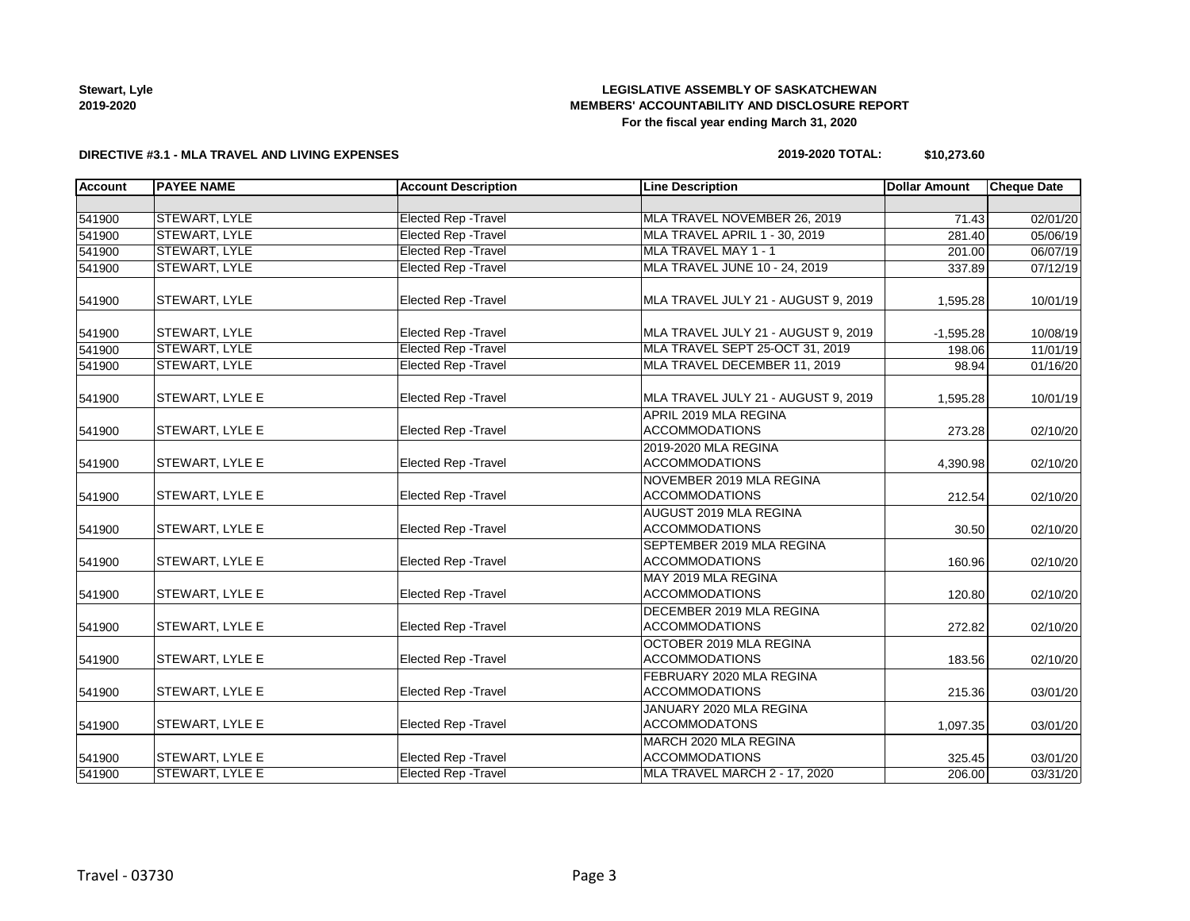| <b>Stewart, Lyle</b> |
|----------------------|
| 2019-2020            |

# **LEGISLATIVE ASSEMBLY OF SASKATCHEWAN MEMBERS' ACCOUNTABILITY AND DISCLOSURE REPORT For the fiscal year ending March 31, 2020**

#### **DIRECTIVE #3.1 - MLA TRAVEL AND LIVING EXPENSES**

# **2019-2020 TOTAL: \$10,273.60**

| <b>Account</b> | <b>PAYEE NAME</b>      | <b>Account Description</b>  | <b>Line Description</b>                            | <b>Dollar Amount</b> | <b>Cheque Date</b> |
|----------------|------------------------|-----------------------------|----------------------------------------------------|----------------------|--------------------|
|                |                        |                             |                                                    |                      |                    |
| 541900         | <b>STEWART, LYLE</b>   | <b>Elected Rep - Travel</b> | MLA TRAVEL NOVEMBER 26, 2019                       | 71.43                | 02/01/20           |
| 541900         | STEWART, LYLE          | <b>Elected Rep - Travel</b> | MLA TRAVEL APRIL 1 - 30, 2019                      | 281.40               | 05/06/19           |
| 541900         | STEWART, LYLE          | <b>Elected Rep - Travel</b> | MLA TRAVEL MAY 1 - 1                               | 201.00               | 06/07/19           |
| 541900         | STEWART, LYLE          | <b>Elected Rep - Travel</b> | MLA TRAVEL JUNE 10 - 24, 2019                      | 337.89               | 07/12/19           |
| 541900         | STEWART, LYLE          | Elected Rep - Travel        | MLA TRAVEL JULY 21 - AUGUST 9, 2019                | 1,595.28             | 10/01/19           |
| 541900         | STEWART, LYLE          | Elected Rep - Travel        | MLA TRAVEL JULY 21 - AUGUST 9, 2019                | $-1,595.28$          | 10/08/19           |
| 541900         | <b>STEWART, LYLE</b>   | Elected Rep - Travel        | MLA TRAVEL SEPT 25-OCT 31, 2019                    | 198.06               | 11/01/19           |
| 541900         | <b>STEWART, LYLE</b>   | <b>Elected Rep - Travel</b> | MLA TRAVEL DECEMBER 11, 2019                       | 98.94                | 01/16/20           |
| 541900         | STEWART, LYLE E        | Elected Rep - Travel        | MLA TRAVEL JULY 21 - AUGUST 9, 2019                | 1,595.28             | 10/01/19           |
|                |                        |                             | APRIL 2019 MLA REGINA                              |                      |                    |
| 541900         | STEWART, LYLE E        | Elected Rep - Travel        | <b>ACCOMMODATIONS</b>                              | 273.28               | 02/10/20           |
| 541900         | STEWART, LYLE E        | Elected Rep - Travel        | 2019-2020 MLA REGINA<br><b>ACCOMMODATIONS</b>      | 4,390.98             | 02/10/20           |
| 541900         | STEWART, LYLE E        | <b>Elected Rep - Travel</b> | NOVEMBER 2019 MLA REGINA<br><b>ACCOMMODATIONS</b>  | 212.54               | 02/10/20           |
| 541900         | STEWART, LYLE E        | Elected Rep - Travel        | AUGUST 2019 MLA REGINA<br><b>ACCOMMODATIONS</b>    | 30.50                | 02/10/20           |
| 541900         | STEWART, LYLE E        | Elected Rep - Travel        | SEPTEMBER 2019 MLA REGINA<br><b>ACCOMMODATIONS</b> | 160.96               | 02/10/20           |
| 541900         | STEWART, LYLE E        | Elected Rep - Travel        | MAY 2019 MLA REGINA<br><b>ACCOMMODATIONS</b>       | 120.80               | 02/10/20           |
| 541900         | STEWART, LYLE E        | Elected Rep - Travel        | DECEMBER 2019 MLA REGINA<br><b>ACCOMMODATIONS</b>  | 272.82               | 02/10/20           |
| 541900         | STEWART, LYLE E        | Elected Rep - Travel        | OCTOBER 2019 MLA REGINA<br><b>ACCOMMODATIONS</b>   | 183.56               | 02/10/20           |
| 541900         | STEWART, LYLE E        | Elected Rep - Travel        | FEBRUARY 2020 MLA REGINA<br><b>ACCOMMODATIONS</b>  | 215.36               | 03/01/20           |
| 541900         | STEWART, LYLE E        | Elected Rep - Travel        | JANUARY 2020 MLA REGINA<br><b>ACCOMMODATONS</b>    | 1,097.35             | 03/01/20           |
| 541900         | STEWART, LYLE E        | Elected Rep - Travel        | MARCH 2020 MLA REGINA<br><b>ACCOMMODATIONS</b>     | 325.45               | 03/01/20           |
| 541900         | <b>STEWART, LYLE E</b> | <b>Elected Rep - Travel</b> | MLA TRAVEL MARCH 2 - 17, 2020                      | 206.00               | 03/31/20           |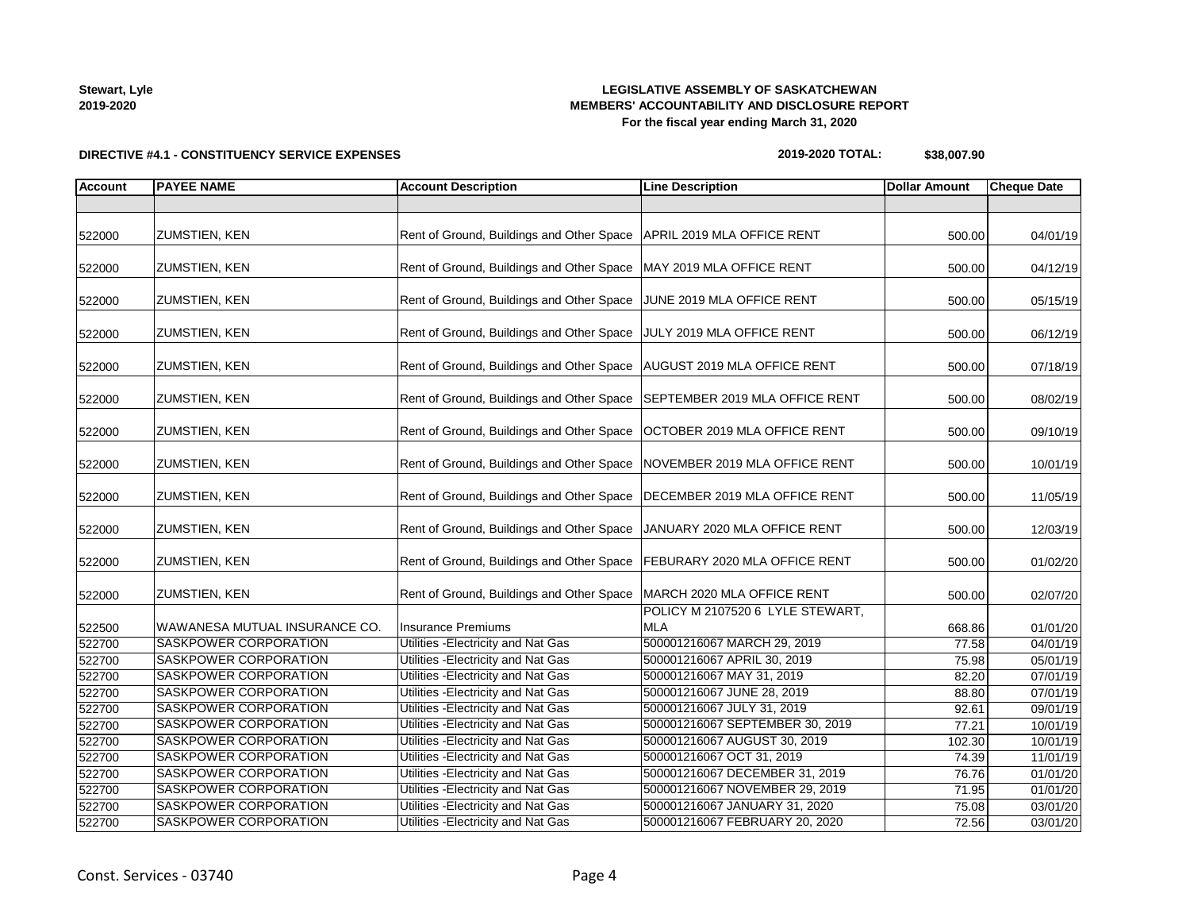# **LEGISLATIVE ASSEMBLY OF SASKATCHEWAN MEMBERS' ACCOUNTABILITY AND DISCLOSURE REPORT For the fiscal year ending March 31, 2020**

# **DIRECTIVE #4.1 - CONSTITUENCY SERVICE EXPENSES**

**2019-2020 TOTAL: \$38,007.90**

| <b>Account</b> | <b>PAYEE NAME</b>             | <b>Account Description</b>                | <b>Line Description</b>                        | <b>Dollar Amount</b> | <b>Cheque Date</b> |
|----------------|-------------------------------|-------------------------------------------|------------------------------------------------|----------------------|--------------------|
|                |                               |                                           |                                                |                      |                    |
| 522000         | <b>ZUMSTIEN, KEN</b>          | Rent of Ground, Buildings and Other Space | APRIL 2019 MLA OFFICE RENT                     | 500.00               | 04/01/19           |
| 522000         | <b>ZUMSTIEN, KEN</b>          | Rent of Ground, Buildings and Other Space | MAY 2019 MLA OFFICE RENT                       | 500.00               | 04/12/19           |
| 522000         | ZUMSTIEN, KEN                 | Rent of Ground, Buildings and Other Space | JUNE 2019 MLA OFFICE RENT                      | 500.00               | 05/15/19           |
| 522000         | <b>ZUMSTIEN, KEN</b>          | Rent of Ground, Buildings and Other Space | JULY 2019 MLA OFFICE RENT                      | 500.00               | 06/12/19           |
| 522000         | <b>ZUMSTIEN, KEN</b>          | Rent of Ground, Buildings and Other Space | AUGUST 2019 MLA OFFICE RENT                    | 500.00               | 07/18/19           |
| 522000         | <b>ZUMSTIEN, KEN</b>          | Rent of Ground, Buildings and Other Space | SEPTEMBER 2019 MLA OFFICE RENT                 | 500.00               | 08/02/19           |
| 522000         | <b>ZUMSTIEN, KEN</b>          | Rent of Ground, Buildings and Other Space | OCTOBER 2019 MLA OFFICE RENT                   | 500.00               | 09/10/19           |
| 522000         | <b>ZUMSTIEN, KEN</b>          | Rent of Ground, Buildings and Other Space | NOVEMBER 2019 MLA OFFICE RENT                  | 500.00               | 10/01/19           |
| 522000         | <b>ZUMSTIEN, KEN</b>          | Rent of Ground, Buildings and Other Space | DECEMBER 2019 MLA OFFICE RENT                  | 500.00               | 11/05/19           |
| 522000         | <b>ZUMSTIEN, KEN</b>          | Rent of Ground, Buildings and Other Space | JANUARY 2020 MLA OFFICE RENT                   | 500.00               | 12/03/19           |
| 522000         | <b>ZUMSTIEN, KEN</b>          | Rent of Ground, Buildings and Other Space | FEBURARY 2020 MLA OFFICE RENT                  | 500.00               | 01/02/20           |
| 522000         | <b>ZUMSTIEN, KEN</b>          | Rent of Ground, Buildings and Other Space | MARCH 2020 MLA OFFICE RENT                     | 500.00               | 02/07/20           |
| 522500         | WAWANESA MUTUAL INSURANCE CO. | <b>Insurance Premiums</b>                 | POLICY M 2107520 6 LYLE STEWART,<br><b>MLA</b> | 668.86               | 01/01/20           |
| 522700         | <b>SASKPOWER CORPORATION</b>  | Utilities - Electricity and Nat Gas       | 500001216067 MARCH 29, 2019                    | 77.58                | 04/01/19           |
| 522700         | SASKPOWER CORPORATION         | Utilities - Electricity and Nat Gas       | 500001216067 APRIL 30, 2019                    | 75.98                | 05/01/19           |
| 522700         | SASKPOWER CORPORATION         | Utilities - Electricity and Nat Gas       | 500001216067 MAY 31, 2019                      | 82.20                | 07/01/19           |
| 522700         | SASKPOWER CORPORATION         | Utilities - Electricity and Nat Gas       | 500001216067 JUNE 28, 2019                     | 88.80                | 07/01/19           |
| 522700         | SASKPOWER CORPORATION         | Utilities - Electricity and Nat Gas       | 500001216067 JULY 31, 2019                     | 92.61                | 09/01/19           |
| 522700         | <b>SASKPOWER CORPORATION</b>  | Utilities - Electricity and Nat Gas       | 500001216067 SEPTEMBER 30, 2019                | 77.21                | 10/01/19           |
| 522700         | SASKPOWER CORPORATION         | Utilities - Electricity and Nat Gas       | 500001216067 AUGUST 30, 2019                   | 102.30               | 10/01/19           |
| 522700         | <b>SASKPOWER CORPORATION</b>  | Utilities - Electricity and Nat Gas       | 500001216067 OCT 31, 2019                      | 74.39                | 11/01/19           |
| 522700         | SASKPOWER CORPORATION         | Utilities - Electricity and Nat Gas       | 500001216067 DECEMBER 31, 2019                 | 76.76                | 01/01/20           |
| 522700         | SASKPOWER CORPORATION         | Utilities - Electricity and Nat Gas       | 500001216067 NOVEMBER 29, 2019                 | 71.95                | 01/01/20           |
| 522700         | <b>SASKPOWER CORPORATION</b>  | Utilities - Electricity and Nat Gas       | 500001216067 JANUARY 31, 2020                  | 75.08                | 03/01/20           |
| 522700         | <b>SASKPOWER CORPORATION</b>  | Utilities - Electricity and Nat Gas       | 500001216067 FEBRUARY 20, 2020                 | 72.56                | 03/01/20           |

**Stewart, Lyle 2019-2020**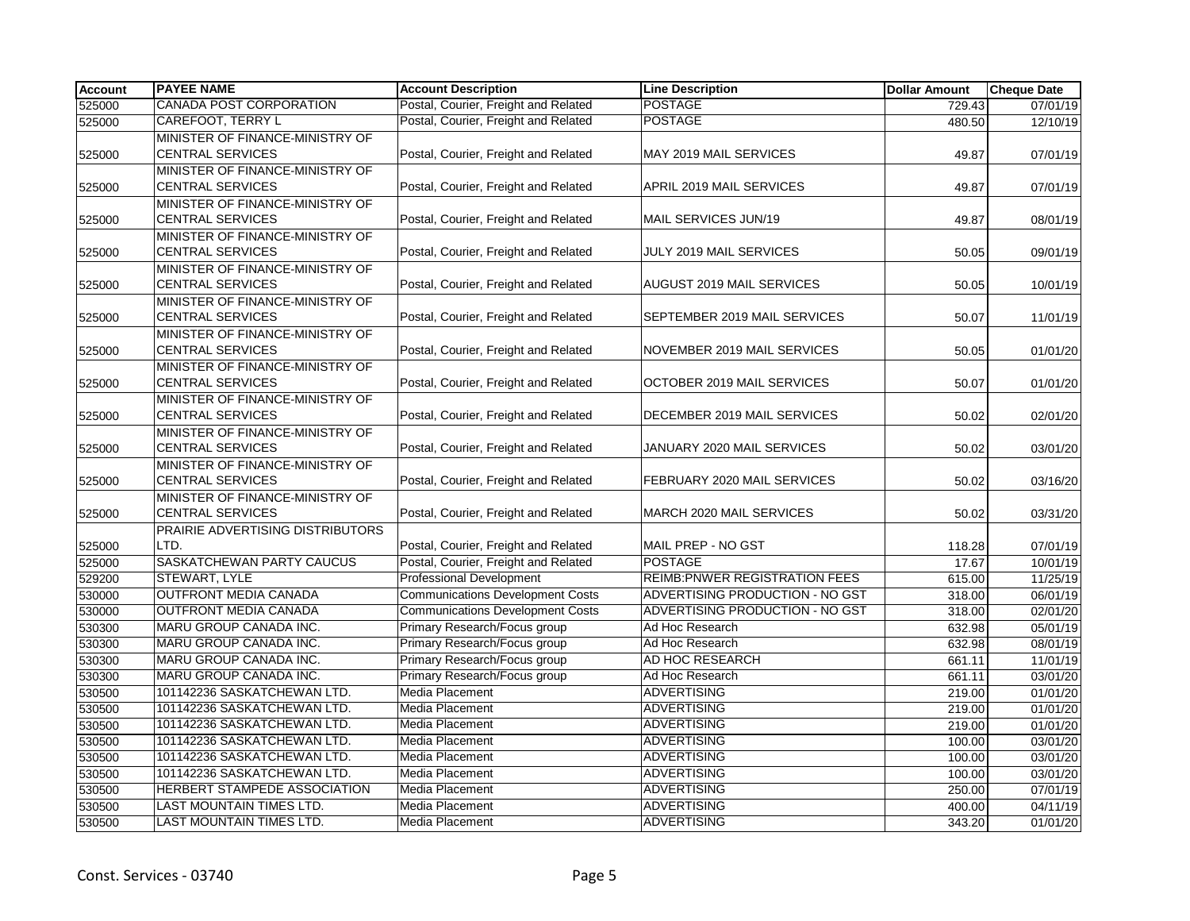| <b>Account</b> | <b>PAYEE NAME</b>                | <b>Account Description</b>              | <b>Line Description</b>               | <b>Dollar Amount</b> | <b>Cheque Date</b> |
|----------------|----------------------------------|-----------------------------------------|---------------------------------------|----------------------|--------------------|
| 525000         | <b>CANADA POST CORPORATION</b>   | Postal, Courier, Freight and Related    | <b>POSTAGE</b>                        | 729.43               | 07/01/19           |
| 525000         | <b>CAREFOOT, TERRY L</b>         | Postal, Courier, Freight and Related    | <b>POSTAGE</b>                        | 480.50               | 12/10/19           |
|                | MINISTER OF FINANCE-MINISTRY OF  |                                         |                                       |                      |                    |
| 525000         | <b>CENTRAL SERVICES</b>          | Postal, Courier, Freight and Related    | MAY 2019 MAIL SERVICES                | 49.87                | 07/01/19           |
|                | MINISTER OF FINANCE-MINISTRY OF  |                                         |                                       |                      |                    |
| 525000         | <b>CENTRAL SERVICES</b>          | Postal, Courier, Freight and Related    | APRIL 2019 MAIL SERVICES              | 49.87                | 07/01/19           |
|                | MINISTER OF FINANCE-MINISTRY OF  |                                         |                                       |                      |                    |
| 525000         | <b>CENTRAL SERVICES</b>          | Postal, Courier, Freight and Related    | MAIL SERVICES JUN/19                  | 49.87                | 08/01/19           |
|                | MINISTER OF FINANCE-MINISTRY OF  |                                         |                                       |                      |                    |
| 525000         | <b>CENTRAL SERVICES</b>          | Postal, Courier, Freight and Related    | JULY 2019 MAIL SERVICES               | 50.05                | 09/01/19           |
|                | MINISTER OF FINANCE-MINISTRY OF  |                                         |                                       |                      |                    |
| 525000         | <b>CENTRAL SERVICES</b>          | Postal, Courier, Freight and Related    | AUGUST 2019 MAIL SERVICES             | 50.05                | 10/01/19           |
|                | MINISTER OF FINANCE-MINISTRY OF  |                                         |                                       |                      |                    |
| 525000         | <b>CENTRAL SERVICES</b>          | Postal, Courier, Freight and Related    | SEPTEMBER 2019 MAIL SERVICES          | 50.07                | 11/01/19           |
|                | MINISTER OF FINANCE-MINISTRY OF  |                                         |                                       |                      |                    |
| 525000         | <b>CENTRAL SERVICES</b>          | Postal, Courier, Freight and Related    | NOVEMBER 2019 MAIL SERVICES           | 50.05                | 01/01/20           |
|                | MINISTER OF FINANCE-MINISTRY OF  |                                         |                                       |                      |                    |
| 525000         | <b>CENTRAL SERVICES</b>          | Postal, Courier, Freight and Related    | OCTOBER 2019 MAIL SERVICES            | 50.07                | 01/01/20           |
|                | MINISTER OF FINANCE-MINISTRY OF  |                                         |                                       |                      |                    |
| 525000         | <b>CENTRAL SERVICES</b>          | Postal, Courier, Freight and Related    | DECEMBER 2019 MAIL SERVICES           | 50.02                | 02/01/20           |
|                | MINISTER OF FINANCE-MINISTRY OF  |                                         |                                       |                      |                    |
| 525000         | <b>CENTRAL SERVICES</b>          | Postal, Courier, Freight and Related    | JANUARY 2020 MAIL SERVICES            | 50.02                | 03/01/20           |
|                | MINISTER OF FINANCE-MINISTRY OF  |                                         |                                       |                      |                    |
| 525000         | <b>CENTRAL SERVICES</b>          | Postal, Courier, Freight and Related    | FEBRUARY 2020 MAIL SERVICES           | 50.02                | 03/16/20           |
|                | MINISTER OF FINANCE-MINISTRY OF  |                                         |                                       |                      |                    |
| 525000         | <b>CENTRAL SERVICES</b>          | Postal, Courier, Freight and Related    | MARCH 2020 MAIL SERVICES              | 50.02                | 03/31/20           |
|                | PRAIRIE ADVERTISING DISTRIBUTORS |                                         |                                       |                      |                    |
| 525000         | LTD.                             | Postal, Courier, Freight and Related    | MAIL PREP - NO GST                    | 118.28               | 07/01/19           |
| 525000         | <b>SASKATCHEWAN PARTY CAUCUS</b> | Postal, Courier, Freight and Related    | <b>POSTAGE</b>                        | 17.67                | 10/01/19           |
| 529200         | STEWART, LYLE                    | <b>Professional Development</b>         | <b>REIMB: PNWER REGISTRATION FEES</b> | 615.00               | 11/25/19           |
| 530000         | <b>OUTFRONT MEDIA CANADA</b>     | <b>Communications Development Costs</b> | ADVERTISING PRODUCTION - NO GST       | 318.00               | 06/01/19           |
| 530000         | <b>OUTFRONT MEDIA CANADA</b>     | <b>Communications Development Costs</b> | ADVERTISING PRODUCTION - NO GST       | 318.00               | 02/01/20           |
| 530300         | MARU GROUP CANADA INC.           | Primary Research/Focus group            | Ad Hoc Research                       | 632.98               | 05/01/19           |
| 530300         | MARU GROUP CANADA INC.           | Primary Research/Focus group            | Ad Hoc Research                       | 632.98               | 08/01/19           |
| 530300         | MARU GROUP CANADA INC.           | Primary Research/Focus group            | AD HOC RESEARCH                       | 661.11               | 11/01/19           |
| 530300         | MARU GROUP CANADA INC.           | Primary Research/Focus group            | Ad Hoc Research                       | 661.11               | 03/01/20           |
| 530500         | 101142236 SASKATCHEWAN LTD.      | Media Placement                         | <b>ADVERTISING</b>                    | 219.00               | 01/01/20           |
| 530500         | 101142236 SASKATCHEWAN LTD.      | Media Placement                         | <b>ADVERTISING</b>                    | 219.00               | 01/01/20           |
| 530500         | 101142236 SASKATCHEWAN LTD.      | Media Placement                         | <b>ADVERTISING</b>                    | 219.00               | 01/01/20           |
| 530500         | 101142236 SASKATCHEWAN LTD.      | <b>Media Placement</b>                  | <b>ADVERTISING</b>                    | 100.00               | 03/01/20           |
| 530500         | 101142236 SASKATCHEWAN LTD.      | Media Placement                         | <b>ADVERTISING</b>                    | 100.00               | 03/01/20           |
| 530500         | 101142236 SASKATCHEWAN LTD.      | <b>Media Placement</b>                  | <b>ADVERTISING</b>                    | 100.00               | 03/01/20           |
| 530500         | HERBERT STAMPEDE ASSOCIATION     | Media Placement                         | <b>ADVERTISING</b>                    | 250.00               | 07/01/19           |
| 530500         | LAST MOUNTAIN TIMES LTD.         | Media Placement                         | <b>ADVERTISING</b>                    | 400.00               | 04/11/19           |
| 530500         | LAST MOUNTAIN TIMES LTD.         | <b>Media Placement</b>                  | <b>ADVERTISING</b>                    | 343.20               | 01/01/20           |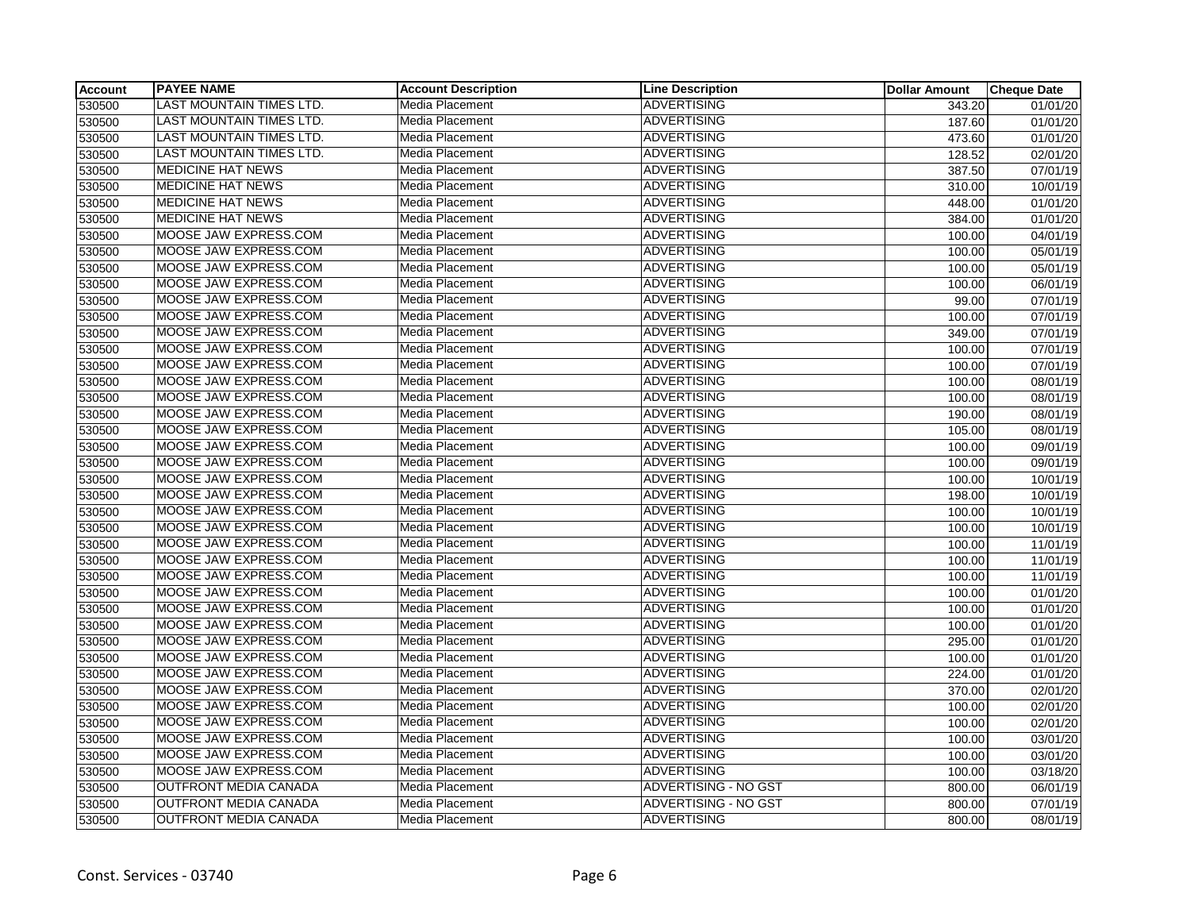| <b>Account</b> | <b>PAYEE NAME</b>               | <b>Account Description</b> | <b>Line Description</b>     | <b>Dollar Amount</b> | <b>Cheque Date</b>    |
|----------------|---------------------------------|----------------------------|-----------------------------|----------------------|-----------------------|
| 530500         | <b>LAST MOUNTAIN TIMES LTD.</b> | Media Placement            | <b>ADVERTISING</b>          | 343.20               | $\overline{01}/01/20$ |
| 530500         | LAST MOUNTAIN TIMES LTD.        | Media Placement            | <b>ADVERTISING</b>          | 187.60               | 01/01/20              |
| 530500         | LAST MOUNTAIN TIMES LTD.        | <b>Media Placement</b>     | <b>ADVERTISING</b>          | 473.60               | 01/01/20              |
| 530500         | LAST MOUNTAIN TIMES LTD.        | Media Placement            | <b>ADVERTISING</b>          | 128.52               | 02/01/20              |
| 530500         | <b>MEDICINE HAT NEWS</b>        | Media Placement            | <b>ADVERTISING</b>          | 387.50               | 07/01/19              |
| 530500         | <b>MEDICINE HAT NEWS</b>        | Media Placement            | <b>ADVERTISING</b>          | 310.00               | 10/01/19              |
| 530500         | <b>MEDICINE HAT NEWS</b>        | Media Placement            | <b>ADVERTISING</b>          | 448.00               | 01/01/20              |
| 530500         | <b>MEDICINE HAT NEWS</b>        | Media Placement            | <b>ADVERTISING</b>          | 384.00               | 01/01/20              |
| 530500         | MOOSE JAW EXPRESS.COM           | Media Placement            | <b>ADVERTISING</b>          | 100.00               | 04/01/19              |
| 530500         | MOOSE JAW EXPRESS.COM           | Media Placement            | <b>ADVERTISING</b>          | 100.00               | 05/01/19              |
| 530500         | MOOSE JAW EXPRESS.COM           | Media Placement            | <b>ADVERTISING</b>          | 100.00               | 05/01/19              |
| 530500         | MOOSE JAW EXPRESS.COM           | Media Placement            | <b>ADVERTISING</b>          | 100.00               | 06/01/19              |
| 530500         | MOOSE JAW EXPRESS.COM           | Media Placement            | <b>ADVERTISING</b>          | 99.00                | 07/01/19              |
| 530500         | MOOSE JAW EXPRESS.COM           | Media Placement            | <b>ADVERTISING</b>          | 100.00               | 07/01/19              |
| 530500         | MOOSE JAW EXPRESS.COM           | Media Placement            | <b>ADVERTISING</b>          | 349.00               | 07/01/19              |
| 530500         | MOOSE JAW EXPRESS.COM           | Media Placement            | <b>ADVERTISING</b>          | 100.00               | $\overline{07/01/19}$ |
| 530500         | MOOSE JAW EXPRESS.COM           | Media Placement            | <b>ADVERTISING</b>          | 100.00               | 07/01/19              |
| 530500         | MOOSE JAW EXPRESS.COM           | Media Placement            | <b>ADVERTISING</b>          | 100.00               | 08/01/19              |
| 530500         | MOOSE JAW EXPRESS.COM           | Media Placement            | <b>ADVERTISING</b>          | 100.00               | 08/01/19              |
| 530500         | MOOSE JAW EXPRESS.COM           | Media Placement            | <b>ADVERTISING</b>          | 190.00               | 08/01/19              |
| 530500         | MOOSE JAW EXPRESS.COM           | Media Placement            | <b>ADVERTISING</b>          | 105.00               | 08/01/19              |
| 530500         | MOOSE JAW EXPRESS.COM           | Media Placement            | <b>ADVERTISING</b>          | 100.00               | 09/01/19              |
| 530500         | MOOSE JAW EXPRESS.COM           | Media Placement            | <b>ADVERTISING</b>          | 100.00               | 09/01/19              |
| 530500         | MOOSE JAW EXPRESS.COM           | Media Placement            | <b>ADVERTISING</b>          | 100.00               | 10/01/19              |
| 530500         | MOOSE JAW EXPRESS.COM           | Media Placement            | <b>ADVERTISING</b>          | 198.00               | 10/01/19              |
| 530500         | MOOSE JAW EXPRESS.COM           | Media Placement            | <b>ADVERTISING</b>          | 100.00               | 10/01/19              |
| 530500         | MOOSE JAW EXPRESS.COM           | Media Placement            | <b>ADVERTISING</b>          | 100.00               | 10/01/19              |
| 530500         | MOOSE JAW EXPRESS.COM           | Media Placement            | <b>ADVERTISING</b>          | 100.00               | 11/01/19              |
| 530500         | MOOSE JAW EXPRESS.COM           | Media Placement            | <b>ADVERTISING</b>          | 100.00               | 11/01/19              |
| 530500         | MOOSE JAW EXPRESS.COM           | Media Placement            | <b>ADVERTISING</b>          | 100.00               | 11/01/19              |
| 530500         | MOOSE JAW EXPRESS.COM           | Media Placement            | <b>ADVERTISING</b>          | 100.00               | 01/01/20              |
| 530500         | MOOSE JAW EXPRESS.COM           | Media Placement            | <b>ADVERTISING</b>          | 100.00               | 01/01/20              |
| 530500         | MOOSE JAW EXPRESS.COM           | Media Placement            | <b>ADVERTISING</b>          | 100.00               | 01/01/20              |
| 530500         | MOOSE JAW EXPRESS.COM           | Media Placement            | <b>ADVERTISING</b>          | 295.00               | 01/01/20              |
| 530500         | MOOSE JAW EXPRESS.COM           | Media Placement            | <b>ADVERTISING</b>          | 100.00               | 01/01/20              |
| 530500         | MOOSE JAW EXPRESS.COM           | Media Placement            | <b>ADVERTISING</b>          | 224.00               | 01/01/20              |
| 530500         | MOOSE JAW EXPRESS.COM           | Media Placement            | <b>ADVERTISING</b>          | 370.00               | 02/01/20              |
| 530500         | MOOSE JAW EXPRESS.COM           | Media Placement            | <b>ADVERTISING</b>          | 100.00               | 02/01/20              |
| 530500         | MOOSE JAW EXPRESS.COM           | Media Placement            | <b>ADVERTISING</b>          | 100.00               | 02/01/20              |
| 530500         | MOOSE JAW EXPRESS.COM           | Media Placement            | <b>ADVERTISING</b>          | 100.00               | 03/01/20              |
| 530500         | MOOSE JAW EXPRESS.COM           | Media Placement            | <b>ADVERTISING</b>          | 100.00               | 03/01/20              |
| 530500         | MOOSE JAW EXPRESS.COM           | Media Placement            | <b>ADVERTISING</b>          | 100.00               | 03/18/20              |
| 530500         | OUTFRONT MEDIA CANADA           | Media Placement            | <b>ADVERTISING - NO GST</b> | 800.00               | 06/01/19              |
| 530500         | <b>OUTFRONT MEDIA CANADA</b>    | Media Placement            | <b>ADVERTISING - NO GST</b> | 800.00               | 07/01/19              |
| 530500         | <b>OUTFRONT MEDIA CANADA</b>    | Media Placement            | <b>ADVERTISING</b>          | 800.00               | 08/01/19              |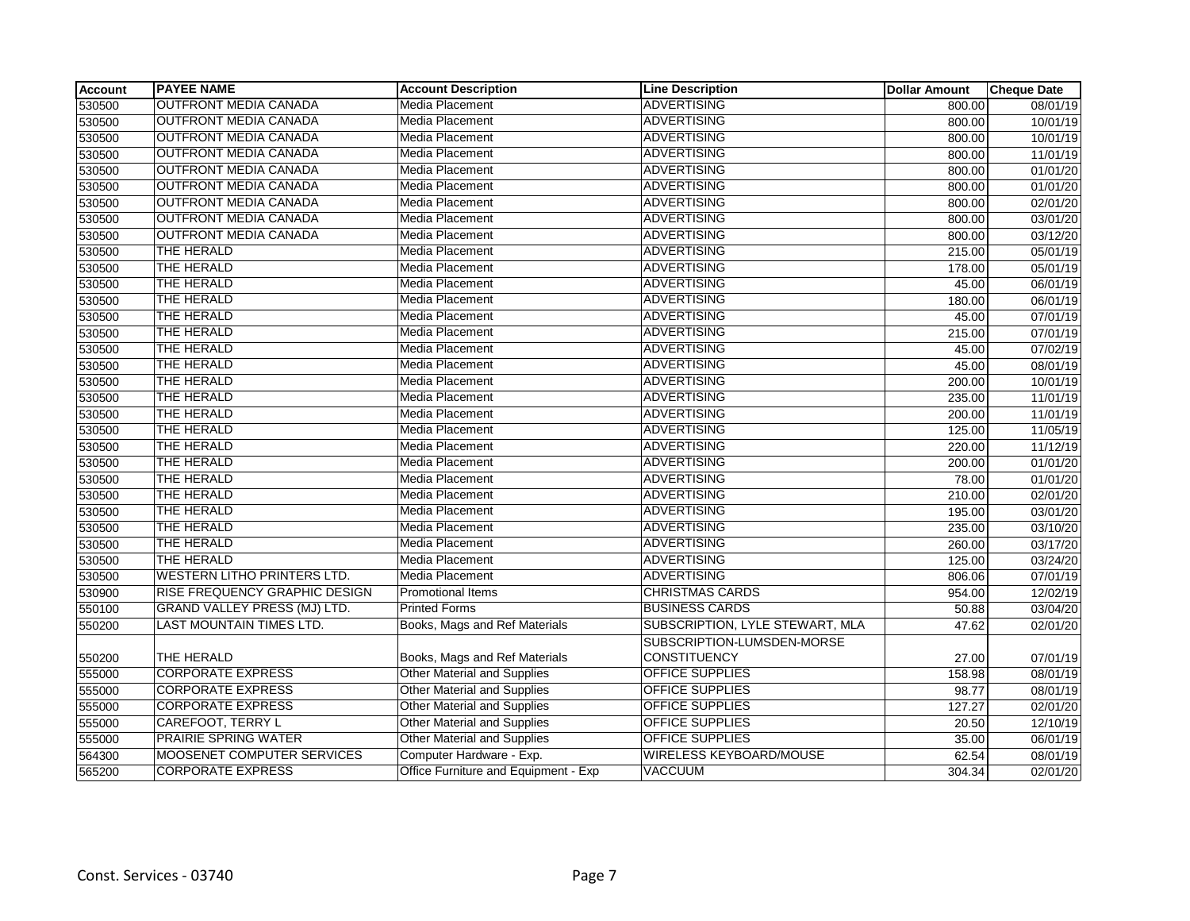| <b>Account</b> | <b>PAYEE NAME</b>                   | <b>Account Description</b>           | <b>Line Description</b>         | <b>Dollar Amount</b> | <b>Cheque Date</b> |
|----------------|-------------------------------------|--------------------------------------|---------------------------------|----------------------|--------------------|
| 530500         | <b>OUTFRONT MEDIA CANADA</b>        | <b>Media Placement</b>               | <b>ADVERTISING</b>              | 800.00               | 08/01/19           |
| 530500         | <b>OUTFRONT MEDIA CANADA</b>        | <b>Media Placement</b>               | <b>ADVERTISING</b>              | 800.00               | 10/01/19           |
| 530500         | <b>OUTFRONT MEDIA CANADA</b>        | <b>Media Placement</b>               | <b>ADVERTISING</b>              | 800.00               | 10/01/19           |
| 530500         | <b>OUTFRONT MEDIA CANADA</b>        | Media Placement                      | <b>ADVERTISING</b>              | 800.00               | 11/01/19           |
| 530500         | <b>OUTFRONT MEDIA CANADA</b>        | Media Placement                      | <b>ADVERTISING</b>              | 800.00               | 01/01/20           |
| 530500         | <b>OUTFRONT MEDIA CANADA</b>        | Media Placement                      | <b>ADVERTISING</b>              | 800.00               | 01/01/20           |
| 530500         | <b>OUTFRONT MEDIA CANADA</b>        | <b>Media Placement</b>               | ADVERTISING                     | 800.00               | 02/01/20           |
| 530500         | <b>OUTFRONT MEDIA CANADA</b>        | Media Placement                      | <b>ADVERTISING</b>              | 800.00               | 03/01/20           |
| 530500         | <b>OUTFRONT MEDIA CANADA</b>        | Media Placement                      | <b>ADVERTISING</b>              | 800.00               | 03/12/20           |
| 530500         | THE HERALD                          | <b>Media Placement</b>               | <b>ADVERTISING</b>              | 215.00               | 05/01/19           |
| 530500         | <b>THE HERALD</b>                   | Media Placement                      | ADVERTISING                     | 178.00               | 05/01/19           |
| 530500         | <b>THE HERALD</b>                   | <b>Media Placement</b>               | <b>ADVERTISING</b>              | 45.00                | 06/01/19           |
| 530500         | <b>THE HERALD</b>                   | Media Placement                      | <b>ADVERTISING</b>              | 180.00               | 06/01/19           |
| 530500         | THE HERALD                          | Media Placement                      | <b>ADVERTISING</b>              | 45.00                | 07/01/19           |
| 530500         | <b>THE HERALD</b>                   | Media Placement                      | <b>ADVERTISING</b>              | 215.00               | 07/01/19           |
| 530500         | <b>THE HERALD</b>                   | Media Placement                      | <b>ADVERTISING</b>              | 45.00                | 07/02/19           |
| 530500         | <b>THE HERALD</b>                   | Media Placement                      | <b>ADVERTISING</b>              | 45.00                | 08/01/19           |
| 530500         | THE HERALD                          | <b>Media Placement</b>               | <b>ADVERTISING</b>              | 200.00               | 10/01/19           |
| 530500         | THE HERALD                          | Media Placement                      | <b>ADVERTISING</b>              | 235.00               | 11/01/19           |
| 530500         | <b>THE HERALD</b>                   | Media Placement                      | <b>ADVERTISING</b>              | 200.00               | 11/01/19           |
| 530500         | <b>THE HERALD</b>                   | Media Placement                      | ADVERTISING                     | 125.00               | 11/05/19           |
| 530500         | THE HERALD                          | Media Placement                      | <b>ADVERTISING</b>              | 220.00               | 11/12/19           |
| 530500         | THE HERALD                          | <b>Media Placement</b>               | <b>ADVERTISING</b>              | 200.00               | 01/01/20           |
| 530500         | THE HERALD                          | Media Placement                      | <b>ADVERTISING</b>              | 78.00                | 01/01/20           |
| 530500         | THE HERALD                          | Media Placement                      | <b>ADVERTISING</b>              | 210.00               | 02/01/20           |
| 530500         | THE HERALD                          | <b>Media Placement</b>               | <b>ADVERTISING</b>              | 195.00               | 03/01/20           |
| 530500         | <b>THE HERALD</b>                   | Media Placement                      | ADVERTISING                     | 235.00               | 03/10/20           |
| 530500         | <b>THE HERALD</b>                   | Media Placement                      | ADVERTISING                     | 260.00               | 03/17/20           |
| 530500         | THE HERALD                          | <b>Media Placement</b>               | <b>ADVERTISING</b>              | 125.00               | 03/24/20           |
| 530500         | <b>WESTERN LITHO PRINTERS LTD.</b>  | Media Placement                      | <b>ADVERTISING</b>              | 806.06               | 07/01/19           |
| 530900         | RISE FREQUENCY GRAPHIC DESIGN       | <b>Promotional Items</b>             | <b>CHRISTMAS CARDS</b>          | 954.00               | 12/02/19           |
| 550100         | <b>GRAND VALLEY PRESS (MJ) LTD.</b> | <b>Printed Forms</b>                 | <b>BUSINESS CARDS</b>           | 50.88                | 03/04/20           |
| 550200         | <b>LAST MOUNTAIN TIMES LTD.</b>     | Books, Mags and Ref Materials        | SUBSCRIPTION, LYLE STEWART, MLA | 47.62                | 02/01/20           |
|                |                                     |                                      | SUBSCRIPTION-LUMSDEN-MORSE      |                      |                    |
| 550200         | <b>THE HERALD</b>                   | Books, Mags and Ref Materials        | <b>CONSTITUENCY</b>             | 27.00                | 07/01/19           |
| 555000         | <b>CORPORATE EXPRESS</b>            | <b>Other Material and Supplies</b>   | <b>OFFICE SUPPLIES</b>          | 158.98               | 08/01/19           |
| 555000         | <b>CORPORATE EXPRESS</b>            | <b>Other Material and Supplies</b>   | <b>OFFICE SUPPLIES</b>          | 98.77                | 08/01/19           |
| 555000         | <b>CORPORATE EXPRESS</b>            | Other Material and Supplies          | <b>OFFICE SUPPLIES</b>          | 127.27               | 02/01/20           |
| 555000         | <b>CAREFOOT, TERRY L</b>            | Other Material and Supplies          | <b>OFFICE SUPPLIES</b>          | 20.50                | 12/10/19           |
| 555000         | <b>PRAIRIE SPRING WATER</b>         | <b>Other Material and Supplies</b>   | <b>OFFICE SUPPLIES</b>          | 35.00                | 06/01/19           |
| 564300         | MOOSENET COMPUTER SERVICES          | Computer Hardware - Exp.             | WIRELESS KEYBOARD/MOUSE         | 62.54                | 08/01/19           |
| 565200         | <b>CORPORATE EXPRESS</b>            | Office Furniture and Equipment - Exp | <b>VACCUUM</b>                  | 304.34               | 02/01/20           |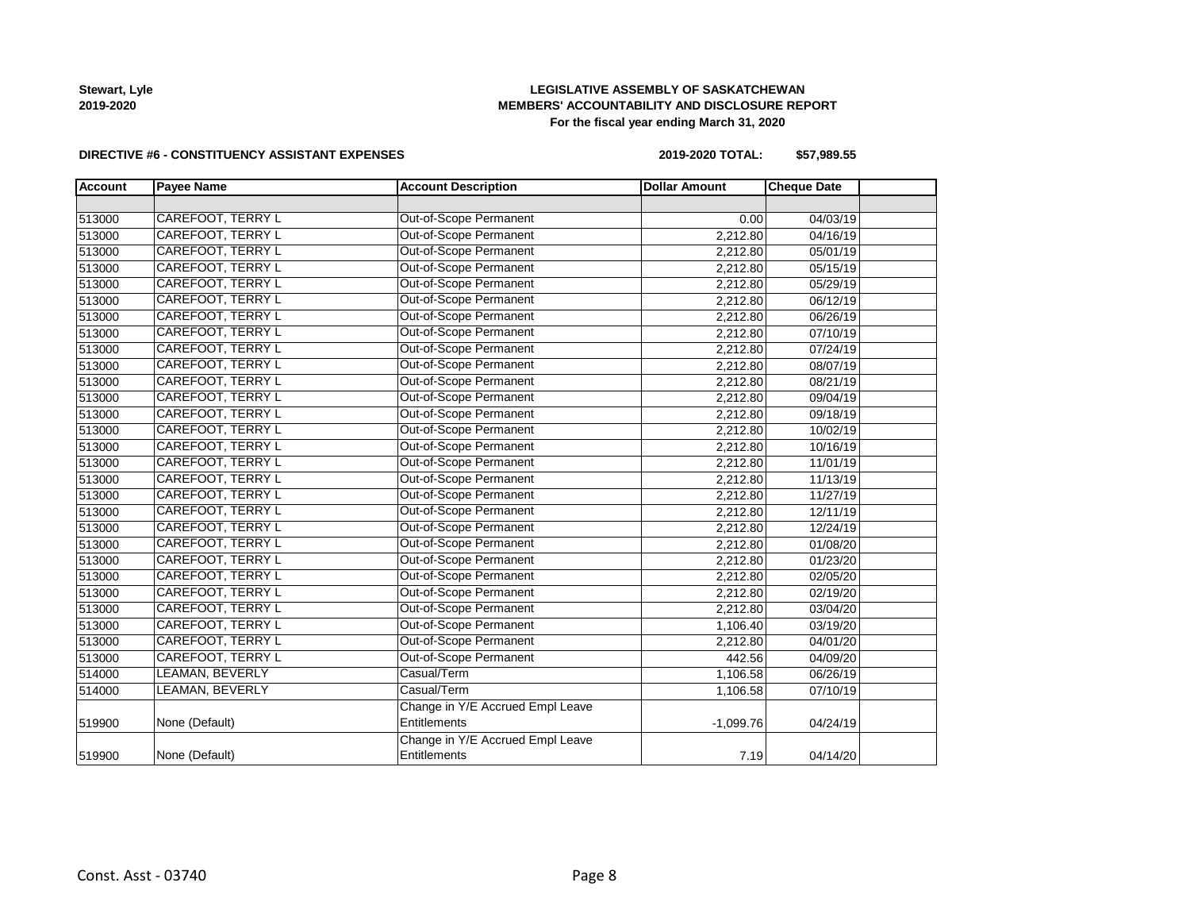

# **LEGISLATIVE ASSEMBLY OF SASKATCHEWAN MEMBERS' ACCOUNTABILITY AND DISCLOSURE REPORT For the fiscal year ending March 31, 2020**

#### **DIRECTIVE #6 - CONSTITUENCY ASSISTANT EXPENSES**

**2019-2020 TOTAL: \$57,989.55**

| <b>Account</b> | <b>Payee Name</b>        | <b>Account Description</b>       | <b>Dollar Amount</b> | <b>Cheque Date</b> |  |
|----------------|--------------------------|----------------------------------|----------------------|--------------------|--|
|                |                          |                                  |                      |                    |  |
| 513000         | <b>CAREFOOT, TERRY L</b> | Out-of-Scope Permanent           | 0.00                 | 04/03/19           |  |
| 513000         | <b>CAREFOOT, TERRY L</b> | Out-of-Scope Permanent           | 2,212.80             | 04/16/19           |  |
| 513000         | CAREFOOT, TERRY L        | Out-of-Scope Permanent           | 2,212.80             | 05/01/19           |  |
| 513000         | CAREFOOT, TERRY L        | Out-of-Scope Permanent           | 2,212.80             | 05/15/19           |  |
| 513000         | CAREFOOT, TERRY L        | Out-of-Scope Permanent           | 2,212.80             | 05/29/19           |  |
| 513000         | CAREFOOT, TERRY L        | Out-of-Scope Permanent           | 2,212.80             | 06/12/19           |  |
| 513000         | <b>CAREFOOT, TERRY L</b> | Out-of-Scope Permanent           | 2,212.80             | 06/26/19           |  |
| 513000         | <b>CAREFOOT, TERRY L</b> | Out-of-Scope Permanent           | 2,212.80             | 07/10/19           |  |
| 513000         | <b>CAREFOOT, TERRY L</b> | Out-of-Scope Permanent           | 2,212.80             | 07/24/19           |  |
| 513000         | CAREFOOT, TERRY L        | Out-of-Scope Permanent           | 2,212.80             | 08/07/19           |  |
| 513000         | <b>CAREFOOT, TERRY L</b> | Out-of-Scope Permanent           | 2,212.80             | 08/21/19           |  |
| 513000         | CAREFOOT, TERRY L        | Out-of-Scope Permanent           | 2,212.80             | 09/04/19           |  |
| 513000         | CAREFOOT, TERRY L        | Out-of-Scope Permanent           | 2,212.80             | 09/18/19           |  |
| 513000         | <b>CAREFOOT, TERRY L</b> | Out-of-Scope Permanent           | 2,212.80             | 10/02/19           |  |
| 513000         | <b>CAREFOOT, TERRY L</b> | Out-of-Scope Permanent           | 2,212.80             | 10/16/19           |  |
| 513000         | <b>CAREFOOT, TERRY L</b> | Out-of-Scope Permanent           | 2,212.80             | 11/01/19           |  |
| 513000         | <b>CAREFOOT, TERRY L</b> | Out-of-Scope Permanent           | 2,212.80             | 11/13/19           |  |
| 513000         | <b>CAREFOOT, TERRY L</b> | Out-of-Scope Permanent           | 2,212.80             | 11/27/19           |  |
| 513000         | CAREFOOT, TERRY L        | Out-of-Scope Permanent           | 2,212.80             | 12/11/19           |  |
| 513000         | CAREFOOT, TERRY L        | Out-of-Scope Permanent           | 2,212.80             | 12/24/19           |  |
| 513000         | <b>CAREFOOT, TERRY L</b> | Out-of-Scope Permanent           | 2,212.80             | 01/08/20           |  |
| 513000         | CAREFOOT, TERRY L        | Out-of-Scope Permanent           | 2,212.80             | 01/23/20           |  |
| 513000         | CAREFOOT, TERRY L        | Out-of-Scope Permanent           | 2,212.80             | 02/05/20           |  |
| 513000         | CAREFOOT, TERRY L        | Out-of-Scope Permanent           | 2,212.80             | 02/19/20           |  |
| 513000         | <b>CAREFOOT, TERRY L</b> | Out-of-Scope Permanent           | 2,212.80             | 03/04/20           |  |
| 513000         | <b>CAREFOOT, TERRY L</b> | Out-of-Scope Permanent           | 1,106.40             | 03/19/20           |  |
| 513000         | <b>CAREFOOT, TERRY L</b> | Out-of-Scope Permanent           | 2,212.80             | 04/01/20           |  |
| 513000         | <b>CAREFOOT, TERRY L</b> | Out-of-Scope Permanent           | 442.56               | 04/09/20           |  |
| 514000         | LEAMAN, BEVERLY          | Casual/Term                      | 1,106.58             | 06/26/19           |  |
| 514000         | LEAMAN, BEVERLY          | Casual/Term                      | 1,106.58             | 07/10/19           |  |
|                |                          | Change in Y/E Accrued Empl Leave |                      |                    |  |
| 519900         | None (Default)           | Entitlements                     | $-1,099.76$          | 04/24/19           |  |
|                |                          | Change in Y/E Accrued Empl Leave |                      |                    |  |
| 519900         | None (Default)           | Entitlements                     | 7.19                 | 04/14/20           |  |